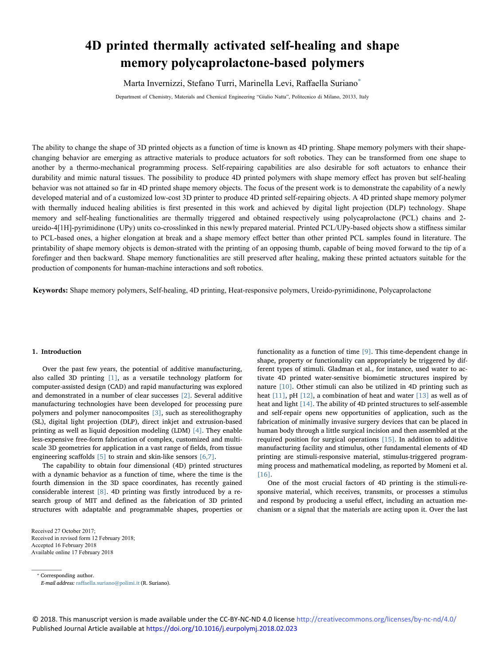# **4D printed thermally activated self-healing and shape memory polycaprolactone-based polymers**

Marta Invernizzi, Stefano Turri, Marinella Levi, Raffaella Suriano<sup>\*</sup>

Department of Chemistry, Materials and Chemical Engineering "Giulio Natta", Politecnico di Milano, 20133, Italy

The ability to change the shape of 3D printed objects as a function of time is known as 4D printing. Shape memory polymers w[ith their](http://crossmark.crossref.org/dialog/?doi=10.1016/j.eurpolymj.2018.02.023&domain=pdf) shape-T changing behavior are emerging as attractive materials to produce actuators for soft robotics. They can be transformed from one shape to another by a thermo-mechanical programming process. Self-repairing capabilities are also desirable for soft actuators to enhance their durability and mimic natural tissues. The possibility to produce 4D printed polymers with shape memory effect has proven but self-healing behavior was not attained so far in 4D printed shape memory objects. The focus of the present work is to demonstrate the capability of a newly developed material and of a customized low-cost 3D printer to produce 4D printed self-repairing objects. A 4D printed shape memory polymer with thermally induced healing abilities is first presented in this work and achieved by digital light projection (DLP) technology. Shape memory and self-healing functionalities are thermally triggered and obtained respectively using polycaprolactone (PCL) chains and 2 ureido-4[1H]-pyrimidinone (UPy) units co-crosslinked in this newly prepared material. Printed PCL/UPy-based objects show a stiffness similar to PCL-based ones, a higher elongation at break and a shape memory effect better than other printed PCL samples found in literature. The printability of shape memory objects is demon-strated with the printing of an opposing thumb, capable of being moved forward to the tip of a forefinger and then backward. Shape memory functionalities are still preserved after healing, making these printed actuators suitable for the production of components for human-machine interactions and soft robotics.

**Keywords:** Shape memory polymers, Self-healing, 4D printing, Heat-responsive polymers, Ureido-pyrimidinone, Polycaprolactone

## 1. Introduction

Over the past few years, the potential of additive manufacturing, also called 3D printing [\[1\]](#page-6-0), as a versatile technology platform for computer-assisted design (CAD) and rapid manufacturing was explored and demonstrated in a number of clear successes [\[2\]](#page-6-1). Several additive manufacturing technologies have been developed for processing pure polymers and polymer nanocomposites [\[3\],](#page-6-2) such as stereolithography (SL), digital light projection (DLP), direct inkjet and extrusion-based printing as well as liquid deposition modeling (LDM) [\[4\]](#page-6-3). They enable less-expensive free-form fabrication of complex, customized and multiscale 3D geometries for application in a vast range of fields, from tissue engineering scaffolds [\[5\]](#page-6-4) to strain and skin-like sensors [\[6,7\]](#page-6-5).

The capability to obtain four dimensional (4D) printed structures with a dynamic behavior as a function of time, where the time is the fourth dimension in the 3D space coordinates, has recently gained considerable interest [\[8\]](#page-6-6). 4D printing was firstly introduced by a research group of MIT and defined as the fabrication of 3D printed structures with adaptable and programmable shapes, properties or

Received 27 October 2017; Received in revised form 12 February 2018; Accepted 16 February 2018 Available online 17 February 2018

functionality as a function of time [\[9\]](#page-6-7). This time-dependent change in shape, property or functionality can appropriately be triggered by different types of stimuli. Gladman et al., for instance, used water to activate 4D printed water-sensitive biomimetic structures inspired by nature [\[10\].](#page-6-8) Other stimuli can also be utilized in 4D printing such as heat [\[11\],](#page-6-9) pH [\[12\],](#page-6-10) a combination of heat and water [\[13\]](#page-6-11) as well as of heat and light [\[14\].](#page-6-12) The ability of 4D printed structures to self-assemble and self-repair opens new opportunities of application, such as the fabrication of minimally invasive surgery devices that can be placed in human body through a little surgical incision and then assembled at the required position for surgical operations [\[15\]](#page-6-13). In addition to additive manufacturing facility and stimulus, other fundamental elements of 4D printing are stimuli-responsive material, stimulus-triggered programming process and mathematical modeling, as reported by Momeni et al. [16].

One of the most crucial factors of 4D printing is the stimuli-responsive material, which receives, transmits, or processes a stimulus and respond by producing a useful effect, including an actuation me[chan](#page-6-14)ism or a signal that the materials are acting upon it. Over the last

<span id="page-0-0"></span>⁎ Corresponding author.

E-mail address: raff[aella.suriano@polimi.it](mailto:raffaella.suriano@polimi.it) (R. Suriano).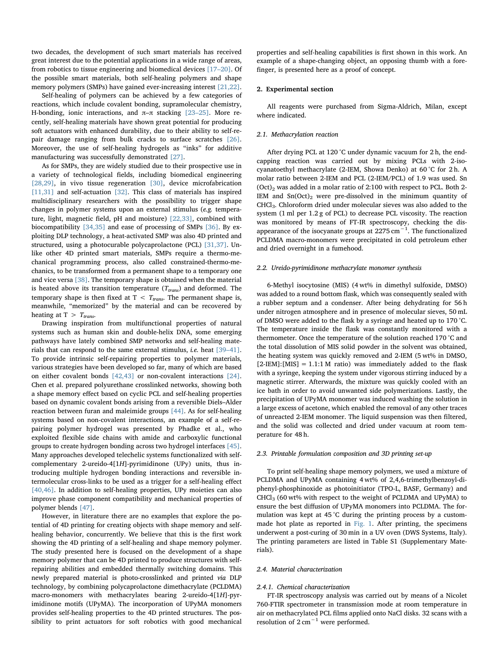two decades, the development of such smart materials has received great interest due to the potential applications in a wide range of areas, from robotics to tissue engineering and biomedical devices [17–[20\].](#page-6-15) Of the possible smart materials, both self-healing polymers and shape memory polymers (SMPs) have gained ever-increasing interest [\[21,22\]](#page-6-16).

Self-healing of polymers can be achieved by a few categories of reactions, which include covalent bonding, supramolecular chemistry, H-bonding, ionic interactions, and  $\pi-\pi$  stacking [23–[25\].](#page-6-17) More recently, self-healing materials have shown great potential for producing soft actuators with enhanced durability, due to their ability to self-repair damage ranging from bulk cracks to surface scratches [\[26\]](#page-7-0). Moreover, the use of self-healing hydrogels as "inks" for additive manufacturing was successfully demonstrated [\[27\].](#page-7-1)

As for SMPs, they are widely studied due to their prospective use in a variety of technological fields, including biomedical engineering [\[28,29\]](#page-7-2), in vivo tissue regeneration [\[30\],](#page-7-3) device microfabrication [\[11,31\]](#page-6-9) and self-actuation [\[32\]](#page-7-4). This class of materials has inspired multidisciplinary researchers with the possibility to trigger shape changes in polymer systems upon an external stimulus (e.g. temperature, light, magnetic field, pH and moisture) [\[22,33\]](#page-6-18), combined with biocompatibility [\[34,35\]](#page-7-5) and ease of processing of SMPs [\[36\].](#page-7-6) By exploiting DLP technology, a heat-activated SMP was also 4D printed and structured, using a photocurable polycaprolactone (PCL) [\[31,37\].](#page-7-7) Unlike other 4D printed smart materials, SMPs require a thermo-mechanical programming process, also called constrained-thermo-mechanics, to be transformed from a permanent shape to a temporary one and vice versa [\[38\].](#page-7-8) The temporary shape is obtained when the material is heated above its transition temperature ( $T_{trans}$ ) and deformed. The temporary shape is then fixed at  $T < T_{trans}$ . The permanent shape is, meanwhile, "memorized" by the material and can be recovered by heating at T  $> T_{trans}$ .

Drawing inspiration from multifunctional properties of natural systems such as human skin and double-helix DNA, some emerging pathways have lately combined SMP networks and self-healing materials that can respond to the same external stimulus, i.e. heat [\[39](#page-7-9)–41]. To provide intrinsic self-repairing properties to polymer materials, various strategies have been developed so far, many of which are based on either covalent bonds [\[42,43\]](#page-7-10) or non-covalent interactions [\[24\]](#page-6-19). Chen et al. prepared polyurethane crosslinked networks, showing both a shape memory effect based on cyclic PCL and self-healing properties based on dynamic covalent bonds arising from a reversible Diels–Alder reaction between furan and maleimide groups [\[44\].](#page-7-11) As for self-healing systems based on non-covalent interactions, an example of a self-repairing polymer hydrogel was presented by Phadke et al., who exploited flexible side chains with amide and carboxylic functional groups to create hydrogen bonding across two hydrogel interfaces [\[45\]](#page-7-12). Many approaches developed telechelic systems functionalized with selfcomplementary 2-ureido-4[1H]-pyrimidinone (UPy) units, thus introducing multiple hydrogen bonding interactions and reversible intermolecular cross-links to be used as a trigger for a self-healing effect [\[40,46\]](#page-7-13). In addition to self-healing properties, UPy moieties can also improve phase component compatibility and mechanical properties of polymer blends [\[47\].](#page-7-14)

However, in literature there are no examples that explore the potential of 4D printing for creating objects with shape memory and selfhealing behavior, concurrently. We believe that this is the first work showing the 4D printing of a self-healing and shape memory polymer. The study presented here is focused on the development of a shape memory polymer that can be 4D printed to produce structures with selfrepairing abilities and embedded thermally switching domains. This newly prepared material is photo-crosslinked and printed via DLP technology, by combining polycaprolactone dimethacrylate (PCLDMA) macro-monomers with methacrylates bearing 2-ureido-4[1H]-pyrimidinone motifs (UPyMA). The incorporation of UPyMA monomers provides self-healing properties to the 4D printed structures. The possibility to print actuators for soft robotics with good mechanical

properties and self-healing capabilities is first shown in this work. An example of a shape-changing object, an opposing thumb with a forefinger, is presented here as a proof of concept.

# 2. Experimental section

All reagents were purchased from Sigma-Aldrich, Milan, except where indicated.

#### 2.1. Methacrylation reaction

After drying PCL at 120 °C under dynamic vacuum for 2 h, the endcapping reaction was carried out by mixing PCLs with 2-isocyanatoethyl methacrylate (2-IEM, Showa Denko) at 60 °C for 2 h. A molar ratio between 2-IEM and PCL (2-IEM/PCL) of 1.9 was used. Sn  $(Oct)<sub>2</sub>$  was added in a molar ratio of 2:100 with respect to PCL. Both 2-IEM and  $Sn(Oct)<sub>2</sub>$  were pre-dissolved in the minimum quantity of CHCl3. Chloroform dried under molecular sieves was also added to the system (1 ml per 1.2 g of PCL) to decrease PCL viscosity. The reaction was monitored by means of FT-IR spectroscopy, checking the disappearance of the isocyanate groups at 2275 cm<sup>-1</sup>. The functionalized PCLDMA macro-monomers were precipitated in cold petroleum ether and dried overnight in a fumehood.

#### 2.2. Ureido-pyrimidinone methacrylate monomer synthesis

6-Methyl isocytosine (MIS) (4 wt% in dimethyl sulfoxide, DMSO) was added to a round bottom flask, which was consequently sealed with a rubber septum and a condenser. After being dehydrating for 56 h under nitrogen atmosphere and in presence of molecular sieves, 50 mL of DMSO were added to the flask by a syringe and heated up to 170 °C. The temperature inside the flask was constantly monitored with a thermometer. Once the temperature of the solution reached 170 °C and the total dissolution of MIS solid powder in the solvent was obtained, the heating system was quickly removed and 2-IEM (5 wt% in DMSO,  $[2-LEM]:[MIS] = 1.1:1 M$  ratio) was immediately added to the flask with a syringe, keeping the system under vigorous stirring induced by a magnetic stirrer. Afterwards, the mixture was quickly cooled with an ice bath in order to avoid unwanted side polymerizations. Lastly, the precipitation of UPyMA monomer was induced washing the solution in a large excess of acetone, which enabled the removal of any other traces of unreacted 2-IEM monomer. The liquid suspension was then filtered, and the solid was collected and dried under vacuum at room temperature for 48 h.

#### 2.3. Printable formulation composition and 3D printing set-up

To print self-healing shape memory polymers, we used a mixture of PCLDMA and UPyMA containing 4 wt% of 2,4,6-trimethylbenzoyl-diphenyl-phosphinoxide as photoinitiator (TPO-L, BASF, Germany) and  $CHCl<sub>3</sub>$  (60 wt% with respect to the weight of PCLDMA and UPyMA) to ensure the best diffusion of UPyMA monomers into PCLDMA. The formulation was kept at 45 °C during the printing process by a custommade hot plate as reported in [Fig. 1](#page-2-0). After printing, the specimens underwent a post-curing of 30 min in a UV oven (DWS Systems, Italy). The printing parameters are listed in Table S1 (Supplementary Materials).

## 2.4. Material characterization

#### 2.4.1. Chemical characterization

FT-IR spectroscopy analysis was carried out by means of a Nicolet 760-FTIR spectrometer in transmission mode at room temperature in air on methacrylated PCL films applied onto NaCl disks. 32 scans with a resolution of 2 cm−<sup>1</sup> were performed.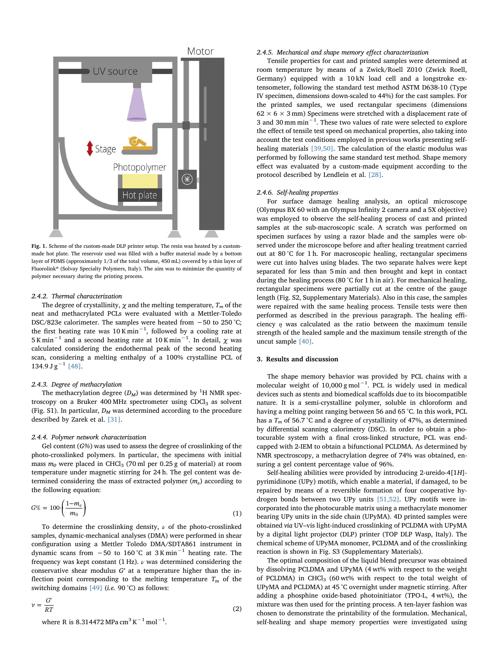<span id="page-2-0"></span>

Fig. 1. Scheme of the custom-made DLP printer setup. The resin was heated by a custommade hot plate. The reservoir used was filled with a buffer material made by a bottom layer of PDMS (approximately 1/3 of the total volume, 450 mL) covered by a thin layer of Fluorolink® (Solvay Specialty Polymers, Italy). The aim was to minimize the quantity of polymer necessary during the printing process.

#### 2.4.2. Thermal characterization

The degree of crystallinity,  $\chi$  and the melting temperature,  $T_m$  of the neat and methacrylated PCLs were evaluated with a Mettler-Toledo DSC/823e calorimeter. The samples were heated from −50 to 250 °C; the first heating rate was 10 K min $^{-1}$ , followed by a cooling rate at 5 K min $^{-1}$  and a second heating rate at 10 K min $^{-1}$ . In detail,  $\chi$  was calculated considering the endothermal peak of the second heating scan, considering a melting enthalpy of a 100% crystalline PCL of  $134.9 J g^{-1}$  [\[48\].](#page-7-15)

# 2.4.3. Degree of methacrylation

 $\mathcal{L}$ 

The methacrylation degree  $(D_M)$  was determined by <sup>1</sup>H NMR spectroscopy on a Bruker 400 MHz spectrometer using  $CDCl<sub>3</sub>$  as solvent (Fig. S1). In particular,  $D_M$  was determined according to the procedure described by Zarek et al. [\[31\]](#page-7-7).

# 2.4.4. Polymer network characterization

Gel content  $(G\%)$  was used to assess the degree of crosslinking of the photo-crosslinked polymers. In particular, the specimens with initial mass  $m_0$  were placed in CHCl<sub>3</sub> (70 ml per 0.25 g of material) at room temperature under magnetic stirring for 24 h. The gel content was determined considering the mass of extracted polymer  $(m_e)$  according to the following equation:

<span id="page-2-1"></span>
$$
G\% = 100 \cdot \left(\frac{1 - m_e}{m_0}\right) \tag{1}
$$

To determine the crosslinking density,  $\nu$  of the photo-crosslinked samples, dynamic-mechanical analyses (DMA) were performed in shear configuration using a Mettler Toledo DMA/SDTA861 instrument in dynamic scans from  $-50$  to 160 °C at 3 K min<sup>-1</sup> heating rate. The frequency was kept constant (1 Hz).  $\nu$  was determined considering the conservative shear modulus G′ at a temperature higher than the inflection point corresponding to the melting temperature  $T_m$  of the switching domains  $[49]$  (*i.e.* 90 °C) as follows:

<span id="page-2-2"></span>
$$
\nu = \frac{G'}{RT}
$$
 (2)

room temperature by means of a Zwick/Roell Z010 (Zwick Roell, Germany) equipped with a 10 kN load cell and a longstroke extensometer, following the standard test method ASTM D638-10 (Type IV specimen, dimensions down-scaled to 44%) for the cast samples. For the printed samples, we used rectangular specimens (dimensions  $62 \times 6 \times 3$  mm) Specimens were stretched with a displacement rate of 3 and 30 mm min $^{-1}$ . These two values of rate were selected to explore the effect of tensile test speed on mechanical properties, also taking into account the test conditions employed in previous works presenting self-healing materials [\[39,50\]](#page-7-9). The calculation of the elastic modulus was performed by following the same standard test method. Shape memory effect was evaluated by a custom-made equipment according to the protocol described by Lendlein et al. [\[28\].](#page-7-2)

Tensile properties for cast and printed samples were determined at

2.4.5. Mechanical and shape memory effect characterization

# 2.4.6. Self-healing properties

For surface damage healing analysis, an optical microscope (Olympus BX 60 with an Olympus Infinity 2 camera and a 5X objective) was employed to observe the self-healing process of cast and printed samples at the sub-macroscopic scale. A scratch was performed on specimen surfaces by using a razor blade and the samples were observed under the microscope before and after healing treatment carried out at 80 °C for 1 h. For macroscopic healing, rectangular specimens were cut into halves using blades. The two separate halves were kept separated for less than 5 min and then brought and kept in contact during the healing process (80 °C for 1 h in air). For mechanical healing, rectangular specimens were partially cut at the centre of the gauge length (Fig. S2, Supplementary Materials). Also in this case, the samples were repaired with the same healing process. Tensile tests were then performed as described in the previous paragraph. The healing efficiency  $\eta$  was calculated as the ratio between the maximum tensile strength of the healed sample and the maximum tensile strength of the uncut sample [\[40\]](#page-7-13).

# 3. Results and discussion

The shape memory behavior was provided by PCL chains with a molecular weight of 10,000 g mol<sup>-1</sup>. PCL is widely used in medical devices such as stents and biomedical scaffolds due to its biocompatible nature. It is a semi-crystalline polymer, soluble in chloroform and having a melting point ranging between 56 and 65 °C. In this work, PCL has a  $T_m$  of 56.7 °C and a degree of crystallinity of 47%, as determined by differential scanning calorimetry (DSC). In order to obtain a photocurable system with a final cross-linked structure, PCL was endcapped with 2-IEM to obtain a bifunctional PCLDMA. As determined by NMR spectroscopy, a methacrylation degree of 74% was obtained, ensuring a gel content percentage value of 96%.

Self-healing abilities were provided by introducing 2-ureido-4[1H] pyrimidinone (UPy) motifs, which enable a material, if damaged, to be repaired by means of a reversible formation of four cooperative hydrogen bonds between two UPy units [\[51,52\].](#page-7-17) UPy motifs were incorporated into the photocurable matrix using a methacrylate monomer bearing UPy units in the side chain (UPyMA). 4D printed samples were obtained via UV–vis light-induced crosslinking of PCLDMA with UPyMA by a digital light projector (DLP) printer (TOP DLP Wasp, Italy). The chemical scheme of UPyMA monomer, PCLDMA and of the crosslinking reaction is shown in Fig. S3 (Supplementary Materials).

The optimal composition of the liquid blend precursor was obtained by dissolving PCLDMA and UPyMA (4 wt% with respect to the weight of PCLDMA) in CHCl<sub>3</sub> (60 wt% with respect to the total weight of UPyMA and PCLDMA) at 45 °C overnight under magnetic stirring. After adding a phosphine oxide-based photoinitiator (TPO-L, 4 wt%), the mixture was then used for the printing process. A ten-layer fashion was chosen to demonstrate the printability of the formulation. Mechanical, self-healing and shape memory properties were investigated using

where R is 8.314472 MPa cm<sup>3</sup> K−<sup>1</sup> mol−<sup>1</sup> .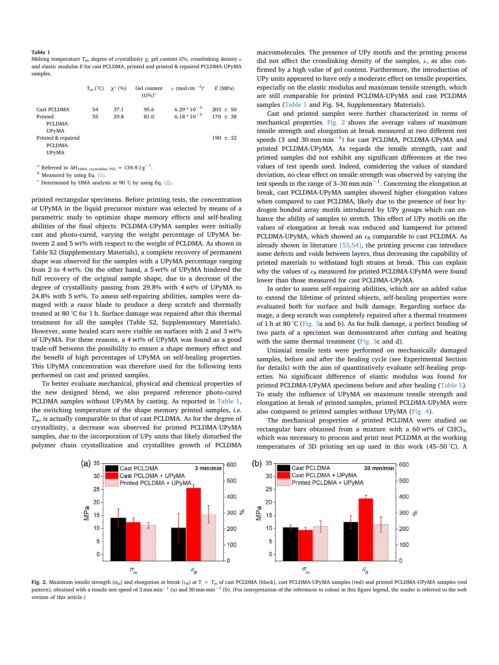#### <span id="page-3-0"></span>Table 1

Melting temperature  $T_m$ , degree of crystallinity  $\chi$ , gel content G%, crosslinking density  $\nu$ and elastic modulus E for cast PCLDMA, printed and printed & repaired PCLDMA-UPyMA samples.

|                    | $T_m$ (°C) $\gamma^a$ (%) |      | Gel content<br>$(G%)^b$ | $\nu$ (mol cm <sup>-3</sup> ) <sup>c</sup> | E(MPa)       |
|--------------------|---------------------------|------|-------------------------|--------------------------------------------|--------------|
| Cast PCLDMA        | 54                        | 37.1 | 95.6                    | $6.29 * 10^{-5}$                           | $203 \pm 50$ |
| Printed            | 55                        | 29.8 | 81.0                    | $6.18 * 10^{-5}$                           | $170 \pm 38$ |
| PCLDMA-            |                           |      |                         |                                            |              |
| <b>UPyMA</b>       |                           |      |                         |                                            |              |
| Printed & repaired |                           |      |                         |                                            | $190 \pm 32$ |
| PCLDMA-            |                           |      |                         |                                            |              |
| <b>UPvMA</b>       |                           |      |                         |                                            |              |
|                    |                           |      |                         |                                            |              |

<span id="page-3-2"></span><sup>a</sup> Referred to  $\Delta H_{100\%}$  crystalline PCL = 134.9 J g<sup>-1</sup>.

<span id="page-3-3"></span><sup>b</sup> Measured by using Eq. [\(1\).](#page-2-1)

<span id="page-3-4"></span> $c$  Determined by DMA analysis at 90 $\degree$ C by using Eq. [\(2\)](#page-2-2).

printed rectangular specimens. Before printing tests, the concentration of UPyMA in the liquid precursor mixture was selected by means of a parametric study to optimize shape memory effects and self-healing abilities of the final objects. PCLDMA-UPyMA samples were initially cast and photo-cured, varying the weight percentage of UPyMA between 2 and 5 wt% with respect to the weight of PCLDMA. As shown in Table S2 (Supplementary Materials), a complete recovery of permanent shape was observed for the samples with a UPyMA percentage ranging from 2 to 4 wt%. On the other hand, a 5 wt% of UPyMA hindered the full recovery of the original sample shape, due to a decrease of the degree of crystallinity passing from 29.8% with 4 wt% of UPyMA to 24.8% with 5 wt%. To assess self-repairing abilities, samples were damaged with a razor blade to produce a deep scratch and thermally treated at 80 °C for 1 h. Surface damage was repaired after this thermal treatment for all the samples (Table S2, Supplementary Materials). However, some healed scars were visible on surfaces with 2 and 3 wt% of UPyMA. For these reasons, a 4 wt% of UPyMA was found as a good trade-off between the possibility to ensure a shape memory effect and the benefit of high percentages of UPyMA on self-healing properties. This UPyMA concentration was therefore used for the following tests performed on cast and printed samples.

To better evaluate mechanical, physical and chemical properties of the new designed blend, we also prepared reference photo-cured PCLDMA samples without UPyMA by casting. As reported in [Table 1](#page-3-0), the switching temperature of the shape memory printed samples, i.e.  $T<sub>m</sub>$ , is actually comparable to that of cast PCLDMA. As for the degree of crystallinity, a decrease was observed for printed PCLDMA-UPyMA samples, due to the incorporation of UPy units that likely disturbed the polymer chain crystallization and crystallites growth of PCLDMA

macromolecules. The presence of UPy motifs and the printing process did not affect the crosslinking density of the samples,  $\nu$ , as also confirmed by a high value of gel content. Furthermore, the introduction of UPy units appeared to have only a moderate effect on tensile properties, especially on the elastic modulus and maximum tensile strength, which are still comparable for printed PCLDMA-UPyMA and cast PCLDMA samples [\(Table 1](#page-3-0) and Fig. S4, Supplementary Materials).

Cast and printed samples were further characterized in terms of mechanical properties. [Fig. 2](#page-3-1) shows the average values of maximum tensile strength and elongation at break measured at two different test speeds (3 and 30 mm min<sup>-1</sup>) for cast PCLDMA, PCLDMA-UPyMA and printed PCLDMA-UPyMA. As regards the tensile strength, cast and printed samples did not exhibit any significant differences at the two values of test speeds used. Indeed, considering the values of standard deviation, no clear effect on tensile strength was observed by varying the test speeds in the range of 3–30 mm min−<sup>1</sup> . Concerning the elongation at break, cast PCLDMA-UPyMA samples showed higher elongation values when compared to cast PCLDMA, likely due to the presence of four hydrogen bonded array motifs introduced by UPy groups which can enhance the ability of samples to stretch. This effect of UPy motifs on the values of elongation at break was reduced and hampered for printed PCLDMA-UPyMA, which showed an  $\varepsilon_B$  comparable to cast PCLDMA. As already shown in literature [\[53,54\],](#page-7-18) the printing process can introduce some defects and voids between layers, thus decreasing the capability of printed materials to withstand high strains at break. This can explain why the values of  $\varepsilon_B$  measured for printed PCLDMA-UPyMA were found lower than those measured for cast PCLDMA-UPyMA.

In order to assess self-repairing abilities, which are an added value to extend the lifetime of printed objects, self-healing properties were evaluated both for surface and bulk damage. Regarding surface damage, a deep scratch was completely repaired after a thermal treatment of 1 h at 80 °C [\(Fig. 3](#page-4-0)a and b). As for bulk damage, a perfect binding of two parts of a specimen was demonstrated after cutting and heating with the same thermal treatment ([Fig. 3](#page-4-0)c and d).

Uniaxial tensile tests were performed on mechanically damaged samples, before and after the healing cycle (see Experimental Section for details) with the aim of quantitatively evaluate self-healing properties. No significant difference of elastic modulus was found for printed PCLDMA-UPyMA specimens before and after healing [\(Table 1](#page-3-0)). To study the influence of UPyMA on maximum tensile strength and elongation at break of printed samples, printed PCLDMA-UPyMA were also compared to printed samples without UPyMA ([Fig. 4](#page-4-1)).

The mechanical properties of printed PCLDMA were studied on rectangular bars obtained from a mixture with a  $60$  wt% of CHCl<sub>3</sub>, which was necessary to process and print neat PCLDMA at the working temperatures of 3D printing set-up used in this work (45–50 °C). A

<span id="page-3-1"></span>

Fig. 2. Maximum tensile strength ( $\sigma_m$ ) and elongation at break ( $\epsilon_B$ ) at T < T<sub>m</sub> of cast PCLDMA (black), cast PCLDMA-UPyMA samples (red) and printed PCLDMA-UPyMA samples (red) pattern), obtained with a tensile test speed of 3 mm min<sup>-1</sup> (a) and 30 mm min<sup>-1</sup> (b). (For interpretation of the references to colour in this figure legend, the reader is referred to the web version of this article.)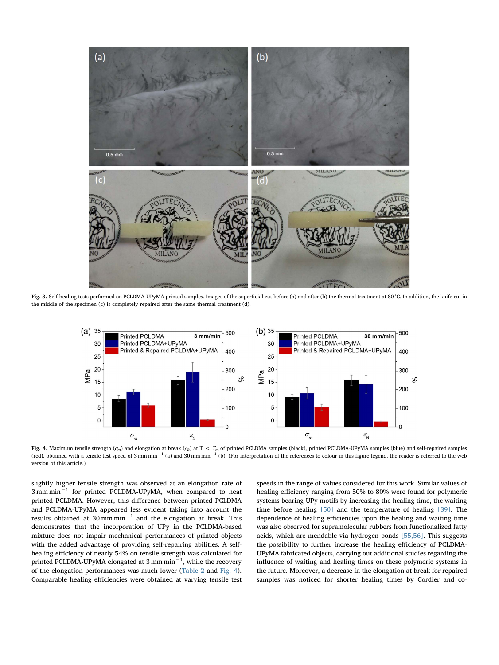<span id="page-4-0"></span>

<span id="page-4-1"></span>Fig. 3. Self-healing tests performed on PCLDMA-UPyMA printed samples. Images of the superficial cut before (a) and after (b) the thermal treatment at 80 °C. In addition, the knife cut in the middle of the specimen (c) is completely repaired after the same thermal treatment (d).



Fig. 4. Maximum tensile strength ( $\sigma_m$ ) and elongation at break ( $\epsilon_B$ ) at T < T<sub>m</sub> of printed PCLDMA samples (black), printed PCLDMA-UPyMA samples (blue) and self-repaired samples (red), obtained with a tensile test speed of 3 mm min<sup>-1</sup> (a) and 30 mm min<sup>-1</sup> (b). (For interpretation of the references to colour in this figure legend, the reader is referred to the web version of this article.)

slightly higher tensile strength was observed at an elongation rate of 3 mm min−<sup>1</sup> for printed PCLDMA-UPyMA, when compared to neat printed PCLDMA. However, this difference between printed PCLDMA and PCLDMA-UPyMA appeared less evident taking into account the results obtained at 30 mm min−<sup>1</sup> and the elongation at break. This demonstrates that the incorporation of UPy in the PCLDMA-based mixture does not impair mechanical performances of printed objects with the added advantage of providing self-repairing abilities. A selfhealing efficiency of nearly 54% on tensile strength was calculated for printed PCLDMA-UPyMA elongated at 3 mm min $^{-1}$ , while the recovery of the elongation performances was much lower [\(Table 2](#page-5-0) and [Fig. 4](#page-4-1)). Comparable healing efficiencies were obtained at varying tensile test speeds in the range of values considered for this work. Similar values of healing efficiency ranging from 50% to 80% were found for polymeric systems bearing UPy motifs by increasing the healing time, the waiting time before healing [\[50\]](#page-7-19) and the temperature of healing [\[39\]](#page-7-9). The dependence of healing efficiencies upon the healing and waiting time was also observed for supramolecular rubbers from functionalized fatty acids, which are mendable via hydrogen bonds [\[55,56\].](#page-7-20) This suggests the possibility to further increase the healing efficiency of PCLDMA-UPyMA fabricated objects, carrying out additional studies regarding the influence of waiting and healing times on these polymeric systems in the future. Moreover, a decrease in the elongation at break for repaired samples was noticed for shorter healing times by Cordier and co-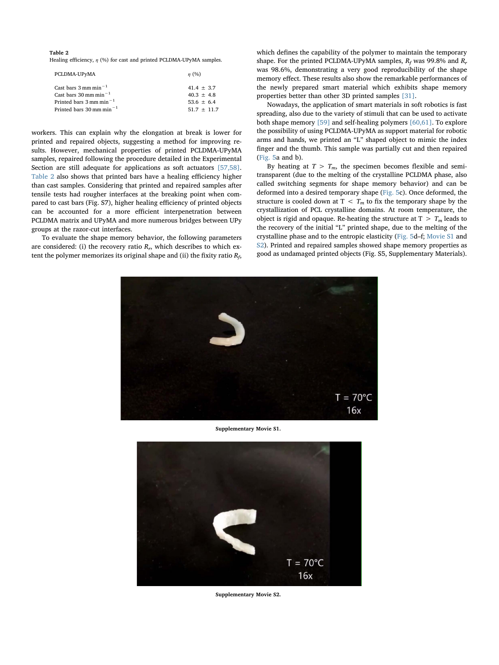# <span id="page-5-0"></span>Table 2

Healing efficiency,  $\eta$  (%) for cast and printed PCLDMA-UPyMA samples.

| PCLDMA-UPyMA                          | $\eta$ (%)    |
|---------------------------------------|---------------|
| Cast bars $3 \text{ mm min}^{-1}$     | $41.4 + 3.7$  |
| Cast bars $30 \text{ mm min}^{-1}$    | $40.3 + 4.8$  |
| Printed bars $3 \text{ mm min}^{-1}$  | $53.6 + 6.4$  |
| Printed bars $30 \text{ mm min}^{-1}$ | $51.7 + 11.7$ |

workers. This can explain why the elongation at break is lower for printed and repaired objects, suggesting a method for improving results. However, mechanical properties of printed PCLDMA-UPyMA samples, repaired following the procedure detailed in the Experimental Section are still adequate for applications as soft actuators [\[57,58\]](#page-7-21). [Table 2](#page-5-0) also shows that printed bars have a healing efficiency higher than cast samples. Considering that printed and repaired samples after tensile tests had rougher interfaces at the breaking point when compared to cast bars (Fig. S7), higher healing efficiency of printed objects can be accounted for a more efficient interpenetration between PCLDMA matrix and UPyMA and more numerous bridges between UPy groups at the razor-cut interfaces.

<span id="page-5-1"></span>To evaluate the shape memory behavior, the following parameters are considered: (i) the recovery ratio  $R_r$ , which describes to which extent the polymer memorizes its original shape and (ii) the fixity ratio  $R_f$ ,

which defines the capability of the polymer to maintain the temporary shape. For the printed PCLDMA-UPyMA samples,  $R_f$  was 99.8% and  $R_r$ was 98.6%, demonstrating a very good reproducibility of the shape memory effect. These results also show the remarkable performances of the newly prepared smart material which exhibits shape memory properties better than other 3D printed samples [\[31\]](#page-7-7).

Nowadays, the application of smart materials in soft robotics is fast spreading, also due to the variety of stimuli that can be used to activate both shape memory [\[59\]](#page-7-22) and self-healing polymers [\[60,61\].](#page-7-23) To explore the possibility of using PCLDMA-UPyMA as support material for robotic arms and hands, we printed an "L" shaped object to mimic the index finger and the thumb. This sample was partially cut and then repaired ([Fig. 5a](#page-6-20) and b).

By heating at  $T > T_m$ , the specimen becomes flexible and semitransparent (due to the melting of the crystalline PCLDMA phase, also called switching segments for shape memory behavior) and can be deformed into a desired temporary shape [\(Fig. 5c](#page-6-20)). Once deformed, the structure is cooled down at  $T < T_m$  to fix the temporary shape by the crystallization of PCL crystalline domains. At room temperature, the object is rigid and opaque. Re-heating the structure at  $T > T_m$  leads to the recovery of the initial "L" printed shape, due to the melting of the crystalline phase and to the entropic elasticity [\(Fig. 5](#page-6-20)d–f; [Movie S1](#page-5-1) and [S2](#page-5-2)). Printed and repaired samples showed shape memory properties as good as undamaged printed objects (Fig. S5, Supplementary Materials).



Supplementary Movie S1.

<span id="page-5-2"></span>

Supplementary Movie S2.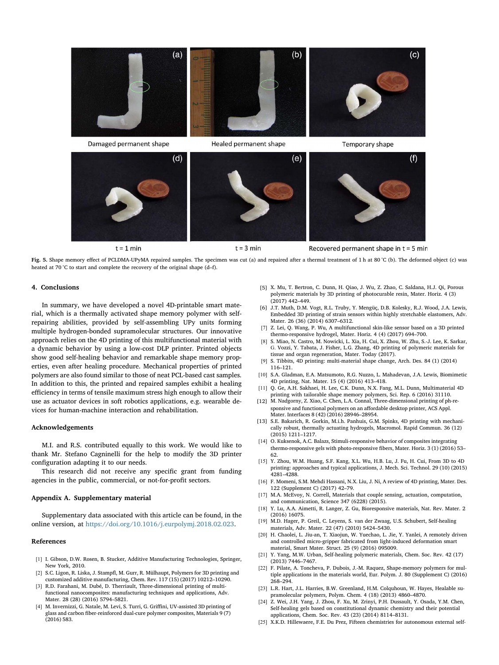<span id="page-6-20"></span>

 $t = 1$  min

 $t = 3$  min

Recovered permanent shape in t = 5 min

Fig. 5. Shape memory effect of PCLDMA-UPyMA repaired samples. The specimen was cut (a) and repaired after a thermal treatment of 1 h at 80 °C (b). The deformed object (c) was heated at 70 °C to start and complete the recovery of the original shape (d–f).

#### 4. Conclusions

In summary, we have developed a novel 4D-printable smart material, which is a thermally activated shape memory polymer with selfrepairing abilities, provided by self-assembling UPy units forming multiple hydrogen-bonded supramolecular structures. Our innovative approach relies on the 4D printing of this multifunctional material with a dynamic behavior by using a low-cost DLP printer. Printed objects show good self-healing behavior and remarkable shape memory properties, even after healing procedure. Mechanical properties of printed polymers are also found similar to those of neat PCL-based cast samples. In addition to this, the printed and repaired samples exhibit a healing efficiency in terms of tensile maximum stress high enough to allow their use as actuator devices in soft robotics applications, e.g. wearable devices for human-machine interaction and rehabilitation.

# Acknowledgements

M.I. and R.S. contributed equally to this work. We would like to thank Mr. Stefano Cagninelli for the help to modify the 3D printer configuration adapting it to our needs.

This research did not receive any specific grant from funding agencies in the public, commercial, or not-for-profit sectors.

#### Appendix A. Supplementary material

Supplementary data associated with this article can be found, in the online version, at [https://doi.org/10.1016/j.eurpolymj.2018.02.023.](https://doi.org/10.1016/j.eurpolymj.2018.02.023)

#### References

- <span id="page-6-0"></span>[1] I. Gibson, D.W. Rosen, B. Stucker, Additive [Manufacturing](http://refhub.elsevier.com/S0014-3057(17)31907-9/h0005) Technologies, Springer, New York, [2010.](http://refhub.elsevier.com/S0014-3057(17)31907-9/h0005)
- <span id="page-6-1"></span>[2] S.C. Ligon, R. Liska, J. Stampfl, M. Gurr, R. [Mülhaupt,](http://refhub.elsevier.com/S0014-3057(17)31907-9/h0010) Polymers for 3D printing and customized additive [manufacturing,](http://refhub.elsevier.com/S0014-3057(17)31907-9/h0010) Chem. Rev. 117 (15) (2017) 10212–10290.
- <span id="page-6-2"></span>[3] R.D. Farahani, M. Dubé, D. Therriault, [Three-dimensional](http://refhub.elsevier.com/S0014-3057(17)31907-9/h0015) printing of multifunctional [nanocomposites:](http://refhub.elsevier.com/S0014-3057(17)31907-9/h0015) manufacturing techniques and applications, Adv. Mater. 28 (28) [\(2016\)](http://refhub.elsevier.com/S0014-3057(17)31907-9/h0015) 5794–5821.
- <span id="page-6-3"></span>[4] M. Invernizzi, G. Natale, M. Levi, S. Turri, G. Griffini, [UV-assisted](http://refhub.elsevier.com/S0014-3057(17)31907-9/h0020) 3D printing of glass and carbon fi[ber-reinforced](http://refhub.elsevier.com/S0014-3057(17)31907-9/h0020) dual-cure polymer composites, Materials 9 (7) [\(2016\)](http://refhub.elsevier.com/S0014-3057(17)31907-9/h0020) 583.
- <span id="page-6-4"></span>[5] X. Mu, T. Bertron, C. Dunn, H. Qiao, J. Wu, Z. Zhao, C. [Saldana,](http://refhub.elsevier.com/S0014-3057(17)31907-9/h0025) H.J. Qi, Porous polymeric materials by 3D printing of [photocurable](http://refhub.elsevier.com/S0014-3057(17)31907-9/h0025) resin, Mater. Horiz. 4 (3) [\(2017\)](http://refhub.elsevier.com/S0014-3057(17)31907-9/h0025) 442–449.
- <span id="page-6-5"></span>[6] J.T. Muth, D.M. Vogt, R.L. Truby, Y. [Mengüç,](http://refhub.elsevier.com/S0014-3057(17)31907-9/h0030) D.B. Kolesky, R.J. Wood, J.A. Lewis, Embedded 3D printing of strain sensors within highly stretchable [elastomers,](http://refhub.elsevier.com/S0014-3057(17)31907-9/h0030) Adv. Mater. 26 (36) [\(2014\)](http://refhub.elsevier.com/S0014-3057(17)31907-9/h0030) 6307–6312.
- [7] Z. Lei, Q. Wang, P. Wu, A [multifunctional](http://refhub.elsevier.com/S0014-3057(17)31907-9/h0035) skin-like sensor based on a 3D printed [thermo-responsive](http://refhub.elsevier.com/S0014-3057(17)31907-9/h0035) hydrogel, Mater. Horiz. 4 (4) (2017) 694–700.
- <span id="page-6-6"></span>[8] S. Miao, N. Castro, M. [Nowicki,](http://refhub.elsevier.com/S0014-3057(17)31907-9/h0040) L. Xia, H. Cui, X. Zhou, W. Zhu, S.-J. Lee, K. Sarkar, G. Vozzi, Y. Tabata, J. Fisher, L.G. Zhang, 4D printing of [polymeric](http://refhub.elsevier.com/S0014-3057(17)31907-9/h0040) materials for tissue and organ [regeneration,](http://refhub.elsevier.com/S0014-3057(17)31907-9/h0040) Mater. Today (2017).
- <span id="page-6-7"></span>[9] S. Tibbits, 4D printing: [multi-material](http://refhub.elsevier.com/S0014-3057(17)31907-9/h0045) shape change, Arch. Des. 84 (1) (2014) 116–[121.](http://refhub.elsevier.com/S0014-3057(17)31907-9/h0045)
- <span id="page-6-8"></span>[10] S.A. Gladman, E.A. Matsumoto, R.G. Nuzzo, L. [Mahadevan,](http://refhub.elsevier.com/S0014-3057(17)31907-9/h0050) J.A. Lewis, Biomimetic 4D [printing,](http://refhub.elsevier.com/S0014-3057(17)31907-9/h0050) Nat. Mater. 15 (4) (2016) 413–418.
- <span id="page-6-9"></span>[11] Q. Ge, A.H. Sakhaei, H. Lee, C.K. Dunn, N.X. Fang, M.L. Dunn, [Multimaterial](http://refhub.elsevier.com/S0014-3057(17)31907-9/h0055) 4D printing with tailorable shape memory [polymers,](http://refhub.elsevier.com/S0014-3057(17)31907-9/h0055) Sci. Rep. 6 (2016) 31110.
- <span id="page-6-10"></span>[12] M. Nadgorny, Z. Xiao, C. Chen, L.A. Connal, [Three-dimensional](http://refhub.elsevier.com/S0014-3057(17)31907-9/h0060) printing of ph-responsive and [functional](http://refhub.elsevier.com/S0014-3057(17)31907-9/h0060) polymers on an affordable desktop printer, ACS Appl. Mater. [Interfaces](http://refhub.elsevier.com/S0014-3057(17)31907-9/h0060) 8 (42) (2016) 28946–28954.
- <span id="page-6-11"></span>[13] S.E. [Bakarich,](http://refhub.elsevier.com/S0014-3057(17)31907-9/h0065) R. Gorkin, M.i.h. Panhuis, G.M. Spinks, 4D printing with mechanically robust, thermally actuating hydrogels, [Macromol.](http://refhub.elsevier.com/S0014-3057(17)31907-9/h0065) Rapid Commun. 36 (12) [\(2015\)](http://refhub.elsevier.com/S0014-3057(17)31907-9/h0065) 1211–1217.
- <span id="page-6-12"></span>[14] O. Kuksenok, A.C. Balazs, [Stimuli-responsive](http://refhub.elsevier.com/S0014-3057(17)31907-9/h0070) behavior of composites integrating [thermo-responsive](http://refhub.elsevier.com/S0014-3057(17)31907-9/h0070) gels with photo-responsive fibers, Mater. Horiz. 3 (1) (2016) 53– 62.
- <span id="page-6-13"></span>[15] Y. Zhou, W.M. [Huang,](http://refhub.elsevier.com/S0014-3057(17)31907-9/h0075) S.F. Kang, X.L. Wu, H.B. Lu, J. Fu, H. Cui, From 3D to 4D printing: approaches and typical [applications,](http://refhub.elsevier.com/S0014-3057(17)31907-9/h0075) J. Mech. Sci. Technol. 29 (10) (2015) 4281–[4288.](http://refhub.elsevier.com/S0014-3057(17)31907-9/h0075)
- <span id="page-6-14"></span>[16] F. [Momeni,](http://refhub.elsevier.com/S0014-3057(17)31907-9/h0080) S.M. Mehdi Hassani, N.X. Liu, J. Ni, A review of 4D printing, Mater. Des. 122 [\(Supplement](http://refhub.elsevier.com/S0014-3057(17)31907-9/h0080) C) (2017) 42–79.
- <span id="page-6-15"></span>[17] M.A. McEvoy, N. Correll, Materials that couple sensing, actuation, [computation,](http://refhub.elsevier.com/S0014-3057(17)31907-9/h0085) and [communication,](http://refhub.elsevier.com/S0014-3057(17)31907-9/h0085) Science 347 (6228) (2015).
- [18] Y. Lu, A.A. Aimetti, R. Langer, Z. Gu, [Bioresponsive](http://refhub.elsevier.com/S0014-3057(17)31907-9/h0090) materials, Nat. Rev. Mater. 2 (2016) [16075.](http://refhub.elsevier.com/S0014-3057(17)31907-9/h0090)
- [19] M.D. Hager, P. Greil, C. Leyens, S. van der Zwaag, U.S. Schubert, [Self-healing](http://refhub.elsevier.com/S0014-3057(17)31907-9/h0095) [materials,](http://refhub.elsevier.com/S0014-3057(17)31907-9/h0095) Adv. Mater. 22 (47) (2010) 5424–5430.
- [20] H. Chaolei, L. Jiu-an, T. Xiaojun, W. [Yuechao,](http://refhub.elsevier.com/S0014-3057(17)31907-9/h0100) L. Jie, Y. Yanlei, A remotely driven and controlled [micro-gripper](http://refhub.elsevier.com/S0014-3057(17)31907-9/h0100) fabricated from light-induced deformation smart [material,](http://refhub.elsevier.com/S0014-3057(17)31907-9/h0100) Smart Mater. Struct. 25 (9) (2016) 095009.
- <span id="page-6-16"></span>[21] Y. Yang, M.W. Urban, [Self-healing](http://refhub.elsevier.com/S0014-3057(17)31907-9/h0105) polymeric materials, Chem. Soc. Rev. 42 (17) [\(2013\)](http://refhub.elsevier.com/S0014-3057(17)31907-9/h0105) 7446–7467.
- <span id="page-6-18"></span>[22] F. Pilate, A. Toncheva, P. Dubois, J.-M. Raquez, [Shape-memory](http://refhub.elsevier.com/S0014-3057(17)31907-9/h0110) polymers for multiple applications in the materials world, Eur. Polym. J. 80 [\(Supplement](http://refhub.elsevier.com/S0014-3057(17)31907-9/h0110) C) (2016) 268–[294.](http://refhub.elsevier.com/S0014-3057(17)31907-9/h0110)
- <span id="page-6-17"></span>[23] L.R. Hart, J.L. Harries, B.W. Greenland, H.M. [Colquhoun,](http://refhub.elsevier.com/S0014-3057(17)31907-9/h0115) W. Hayes, Healable su[pramolecular](http://refhub.elsevier.com/S0014-3057(17)31907-9/h0115) polymers, Polym. Chem. 4 (18) (2013) 4860–4870.
- <span id="page-6-19"></span>[24] Z. Wei, J.H. Yang, J. Zhou, F. Xu, M. Zrinyi, P.H. [Dussault,](http://refhub.elsevier.com/S0014-3057(17)31907-9/h0120) Y. Osada, Y.M. Chen, Self-healing gels based on [constitutional](http://refhub.elsevier.com/S0014-3057(17)31907-9/h0120) dynamic chemistry and their potential [applications,](http://refhub.elsevier.com/S0014-3057(17)31907-9/h0120) Chem. Soc. Rev. 43 (23) (2014) 8114–8131.
- [25] X.K.D. Hillewaere, F.E. Du Prez, Fifteen chemistries for [autonomous](http://refhub.elsevier.com/S0014-3057(17)31907-9/h0125) external self-